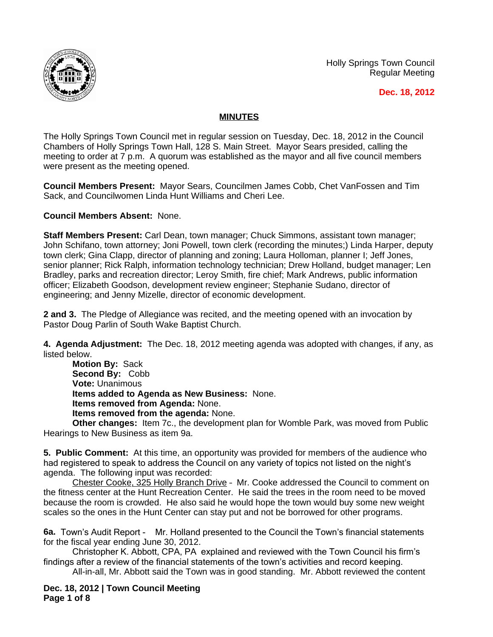

Holly Springs Town Council Regular Meeting

 **Dec. 18, 2012**

## **MINUTES**

The Holly Springs Town Council met in regular session on Tuesday, Dec. 18, 2012 in the Council Chambers of Holly Springs Town Hall, 128 S. Main Street. Mayor Sears presided, calling the meeting to order at 7 p.m. A quorum was established as the mayor and all five council members were present as the meeting opened.

**Council Members Present:** Mayor Sears, Councilmen James Cobb, Chet VanFossen and Tim Sack, and Councilwomen Linda Hunt Williams and Cheri Lee.

**Council Members Absent:** None.

**Staff Members Present:** Carl Dean, town manager; Chuck Simmons, assistant town manager; John Schifano, town attorney; Joni Powell, town clerk (recording the minutes;) Linda Harper, deputy town clerk; Gina Clapp, director of planning and zoning; Laura Holloman, planner I; Jeff Jones, senior planner; Rick Ralph, information technology technician; Drew Holland, budget manager; Len Bradley, parks and recreation director; Leroy Smith, fire chief; Mark Andrews, public information officer; Elizabeth Goodson, development review engineer; Stephanie Sudano, director of engineering; and Jenny Mizelle, director of economic development.

**2 and 3.** The Pledge of Allegiance was recited, and the meeting opened with an invocation by Pastor Doug Parlin of South Wake Baptist Church.

**4. Agenda Adjustment:** The Dec. 18, 2012 meeting agenda was adopted with changes, if any, as listed below.

**Motion By:** Sack **Second By:** Cobb **Vote:** Unanimous **Items added to Agenda as New Business:** None. **Items removed from Agenda:** None. **Items removed from the agenda:** None.

**Other changes:** Item 7c., the development plan for Womble Park, was moved from Public Hearings to New Business as item 9a.

**5. Public Comment:** At this time, an opportunity was provided for members of the audience who had registered to speak to address the Council on any variety of topics not listed on the night's agenda. The following input was recorded:

Chester Cooke, 325 Holly Branch Drive – Mr. Cooke addressed the Council to comment on the fitness center at the Hunt Recreation Center. He said the trees in the room need to be moved because the room is crowded. He also said he would hope the town would buy some new weight scales so the ones in the Hunt Center can stay put and not be borrowed for other programs.

**6a.** Town's Audit Report - Mr. Holland presented to the Council the Town's financial statements for the fiscal year ending June 30, 2012.

Christopher K. Abbott, CPA, PA explained and reviewed with the Town Council his firm's findings after a review of the financial statements of the town's activities and record keeping.

All-in-all, Mr. Abbott said the Town was in good standing. Mr. Abbott reviewed the content

**Dec. 18, 2012 | Town Council Meeting Page 1 of 8**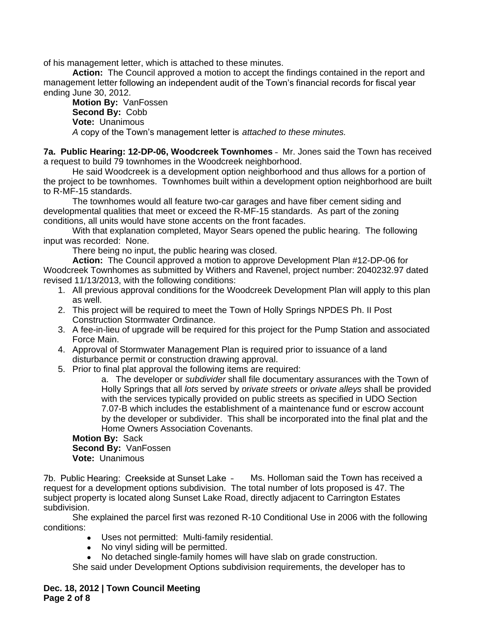of his management letter, which is attached to these minutes.

**Action:** The Council approved a motion to accept the findings contained in the report and management letter following an independent audit of the Town's financial records for fiscal year ending June 30, 2012.

**Motion By:** VanFossen **Second By:** Cobb **Vote:** Unanimous *A* copy of the Town's management letter is *attached to these minutes.*

**7a. Public Hearing: 12-DP-06, Woodcreek Townhomes** – Mr. Jones said the Town has received a request to build 79 townhomes in the Woodcreek neighborhood.

He said Woodcreek is a development option neighborhood and thus allows for a portion of the project to be townhomes. Townhomes built within a development option neighborhood are built to R-MF-15 standards.

The townhomes would all feature two-car garages and have fiber cement siding and developmental qualities that meet or exceed the R-MF-15 standards. As part of the zoning conditions, all units would have stone accents on the front facades.

With that explanation completed, Mayor Sears opened the public hearing. The following input was recorded: None.

There being no input, the public hearing was closed.

**Action:** The Council approved a motion to approve Development Plan #12-DP-06 for Woodcreek Townhomes as submitted by Withers and Ravenel, project number: 2040232.97 dated revised 11/13/2013, with the following conditions:

- 1. All previous approval conditions for the Woodcreek Development Plan will apply to this plan as well.
- 2. This project will be required to meet the Town of Holly Springs NPDES Ph. II Post Construction Stormwater Ordinance.
- 3. A fee-in-lieu of upgrade will be required for this project for the Pump Station and associated Force Main.
- 4. Approval of Stormwater Management Plan is required prior to issuance of a land disturbance permit or construction drawing approval.
- 5. Prior to final plat approval the following items are required:

a. The developer or *subdivider* shall file documentary assurances with the Town of Holly Springs that all *lots* served by *private streets* or *private alleys* shall be provided with the services typically provided on public streets as specified in UDO Section 7.07-B which includes the establishment of a maintenance fund or escrow account by the developer or subdivider. This shall be incorporated into the final plat and the Home Owners Association Covenants.

**Motion By:** Sack **Second By:** VanFossen **Vote:** Unanimous

7b. Public Hearing: Creekside at Sunset Lake – Ms. Holloman said the Town has received a request for a development options subdivision. The total number of lots proposed is 47. The subject property is located along Sunset Lake Road, directly adjacent to Carrington Estates subdivision.

She explained the parcel first was rezoned R-10 Conditional Use in 2006 with the following conditions:

- Uses not permitted: Multi-family residential.
- No vinyl siding will be permitted.
- No detached single-family homes will have slab on grade construction.

She said under Development Options subdivision requirements, the developer has to

**Dec. 18, 2012 | Town Council Meeting Page 2 of 8**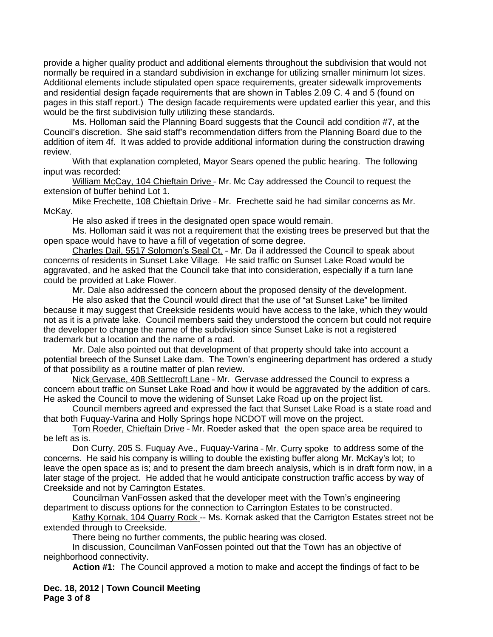provide a higher quality product and additional elements throughout the subdivision that would not normally be required in a standard subdivision in exchange for utilizing smaller minimum lot sizes. Additional elements include stipulated open space requirements, greater sidewalk improvements and residential design façade requirements that are shown in Tables 2.09 C. 4 and 5 (found on pages in this staff report.) The design facade requirements were updated earlier this year, and this would be the first subdivision fully utilizing these standards.

Ms. Holloman said the Planning Board suggests that the Council add condition #7, at the Council's discretion. She said staff's recommendation differs from the Planning Board due to the addition of item 4f. It was added to provide additional information during the construction drawing review.

With that explanation completed, Mayor Sears opened the public hearing. The following input was recorded:

William McCay, 104 Chieftain Drive - Mr. Mc Cay addressed the Council to request the extension of buffer behind Lot 1.

Mike Frechette, 108 Chieftain Drive – Mr. Frechette said he had similar concerns as Mr. McKay.

He also asked if trees in the designated open space would remain.

Ms. Holloman said it was not a requirement that the existing trees be preserved but that the open space would have to have a fill of vegetation of some degree.

Charles Dail, 5517 Solomon's Seal Ct. - Mr. Da il addressed the Council to speak about concerns of residents in Sunset Lake Village. He said traffic on Sunset Lake Road would be aggravated, and he asked that the Council take that into consideration, especially if a turn lane could be provided at Lake Flower.

Mr. Dale also addressed the concern about the proposed density of the development.

He also asked that the Council would direct that the use of "at Sunset Lake" be limited because it may suggest that Creekside residents would have access to the lake, which they would not as it is a private lake. Council members said they understood the concern but could not require the developer to change the name of the subdivision since Sunset Lake is not a registered trademark but a location and the name of a road.

Mr. Dale also pointed out that development of that property should take into account a potential breech of the Sunset Lake dam. The Town's engineering department has ordered a study of that possibility as a routine matter of plan review.

Nick Gervase, 408 Settlecroft Lane – Mr. Gervase addressed the Council to express a concern about traffic on Sunset Lake Road and how it would be aggravated by the addition of cars. He asked the Council to move the widening of Sunset Lake Road up on the project list.

Council members agreed and expressed the fact that Sunset Lake Road is a state road and that both Fuquay-Varina and Holly Springs hope NCDOT will move on the project.

Tom Roeder, Chieftain Drive – Mr. Roeder asked that the open space area be required to be left as is.

Don Curry, 205 S. Fuquay Ave., Fuquay-Varina – Mr. Curry spoke to address some of the concerns. He said his company is willing to double the existing buffer along Mr. McKay's lot; to leave the open space as is; and to present the dam breech analysis, which is in draft form now, in a later stage of the project. He added that he would anticipate construction traffic access by way of Creekside and not by Carrington Estates.

Councilman VanFossen asked that the developer meet with the Town's engineering department to discuss options for the connection to Carrington Estates to be constructed.

Kathy Kornak, 104 Quarry Rock -- Ms. Kornak asked that the Carrigton Estates street not be extended through to Creekside.

There being no further comments, the public hearing was closed.

In discussion, Councilman VanFossen pointed out that the Town has an objective of neighborhood connectivity.

**Action #1:** The Council approved a motion to make and accept the findings of fact to be

**Dec. 18, 2012 | Town Council Meeting Page 3 of 8**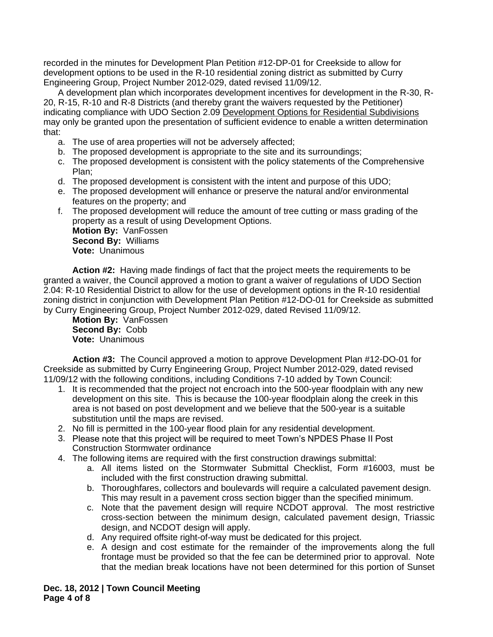recorded in the minutes for Development Plan Petition #12-DP-01 for Creekside to allow for development options to be used in the R-10 residential zoning district as submitted by Curry Engineering Group, Project Number 2012-029, dated revised 11/09/12.

A development plan which incorporates development incentives for development in the R-30, R-20, R-15, R-10 and R-8 Districts (and thereby grant the waivers requested by the Petitioner) indicating compliance with UDO Section 2.09 Development Options for Residential Subdivisions may only be granted upon the presentation of sufficient evidence to enable a written determination that:

- a. The use of area properties will not be adversely affected;
- b. The proposed development is appropriate to the site and its surroundings;
- c. The proposed development is consistent with the policy statements of the Comprehensive Plan;
- d. The proposed development is consistent with the intent and purpose of this UDO;
- e. The proposed development will enhance or preserve the natural and/or environmental features on the property; and
- f. The proposed development will reduce the amount of tree cutting or mass grading of the property as a result of using Development Options.

**Motion By:** VanFossen **Second By:** Williams **Vote:** Unanimous

**Action #2:** Having made findings of fact that the project meets the requirements to be granted a waiver, the Council approved a motion to grant a waiver of regulations of UDO Section 2.04: R-10 Residential District to allow for the use of development options in the R-10 residential zoning district in conjunction with Development Plan Petition #12-DO-01 for Creekside as submitted by Curry Engineering Group, Project Number 2012-029, dated Revised 11/09/12.

**Motion By:** VanFossen **Second By:** Cobb **Vote:** Unanimous

**Action #3:** The Council approved a motion to approve Development Plan #12-DO-01 for Creekside as submitted by Curry Engineering Group, Project Number 2012-029, dated revised 11/09/12 with the following conditions, including Conditions 7-10 added by Town Council:

- 1. It is recommended that the project not encroach into the 500-year floodplain with any new development on this site. This is because the 100-year floodplain along the creek in this area is not based on post development and we believe that the 500-year is a suitable substitution until the maps are revised.
- 2. No fill is permitted in the 100-year flood plain for any residential development.
- 3. Please note that this project will be required to meet Town's NPDES Phase II Post Construction Stormwater ordinance
- 4. The following items are required with the first construction drawings submittal:
	- a. All items listed on the Stormwater Submittal Checklist, Form #16003, must be included with the first construction drawing submittal.
	- b. Thoroughfares, collectors and boulevards will require a calculated pavement design. This may result in a pavement cross section bigger than the specified minimum.
	- c. Note that the pavement design will require NCDOT approval. The most restrictive cross-section between the minimum design, calculated pavement design, Triassic design, and NCDOT design will apply.
	- d. Any required offsite right-of-way must be dedicated for this project.
	- e. A design and cost estimate for the remainder of the improvements along the full frontage must be provided so that the fee can be determined prior to approval. Note that the median break locations have not been determined for this portion of Sunset

**Dec. 18, 2012 | Town Council Meeting Page 4 of 8**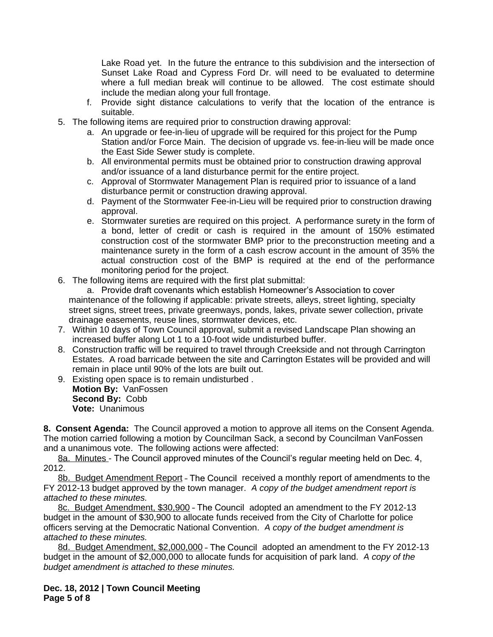Lake Road yet. In the future the entrance to this subdivision and the intersection of Sunset Lake Road and Cypress Ford Dr. will need to be evaluated to determine where a full median break will continue to be allowed. The cost estimate should include the median along your full frontage.

- f. Provide sight distance calculations to verify that the location of the entrance is suitable.
- 5. The following items are required prior to construction drawing approval:
	- a. An upgrade or fee-in-lieu of upgrade will be required for this project for the Pump Station and/or Force Main. The decision of upgrade vs. fee-in-lieu will be made once the East Side Sewer study is complete.
	- b. All environmental permits must be obtained prior to construction drawing approval and/or issuance of a land disturbance permit for the entire project.
	- c. Approval of Stormwater Management Plan is required prior to issuance of a land disturbance permit or construction drawing approval.
	- d. Payment of the Stormwater Fee-in-Lieu will be required prior to construction drawing approval.
	- e. Stormwater sureties are required on this project. A performance surety in the form of a bond, letter of credit or cash is required in the amount of 150% estimated construction cost of the stormwater BMP prior to the preconstruction meeting and a maintenance surety in the form of a cash escrow account in the amount of 35% the actual construction cost of the BMP is required at the end of the performance monitoring period for the project.
- 6. The following items are required with the first plat submittal:

a. Provide draft covenants which establish Homeowner's Association to cover maintenance of the following if applicable: private streets, alleys, street lighting, specialty street signs, street trees, private greenways, ponds, lakes, private sewer collection, private drainage easements, reuse lines, stormwater devices, etc.

- 7. Within 10 days of Town Council approval, submit a revised Landscape Plan showing an increased buffer along Lot 1 to a 10-foot wide undisturbed buffer.
- 8. Construction traffic will be required to travel through Creekside and not through Carrington Estates. A road barricade between the site and Carrington Estates will be provided and will remain in place until 90% of the lots are built out.
- 9. Existing open space is to remain undisturbed . **Motion By:** VanFossen **Second By:** Cobb **Vote:** Unanimous

**8. Consent Agenda:** The Council approved a motion to approve all items on the Consent Agenda. The motion carried following a motion by Councilman Sack, a second by Councilman VanFossen and a unanimous vote. The following actions were affected:

8a. Minutes - The Council approved minutes of the Council's regular meeting held on Dec. 4, 2012.

8b. Budget Amendment Report - The Council received a monthly report of amendments to the FY 2012-13 budget approved by the town manager. *A copy of the budget amendment report is attached to these minutes.*

8c. Budget Amendment, \$30,900 – The Council adopted an amendment to the FY 2012-13 budget in the amount of \$30,900 to allocate funds received from the City of Charlotte for police officers serving at the Democratic National Convention. *A copy of the budget amendment is attached to these minutes.*

8d. Budget Amendment, \$2,000,000 – The Council adopted an amendment to the FY 2012-13 budget in the amount of \$2,000,000 to allocate funds for acquisition of park land. *A copy of the budget amendment is attached to these minutes.* 

**Dec. 18, 2012 | Town Council Meeting Page 5 of 8**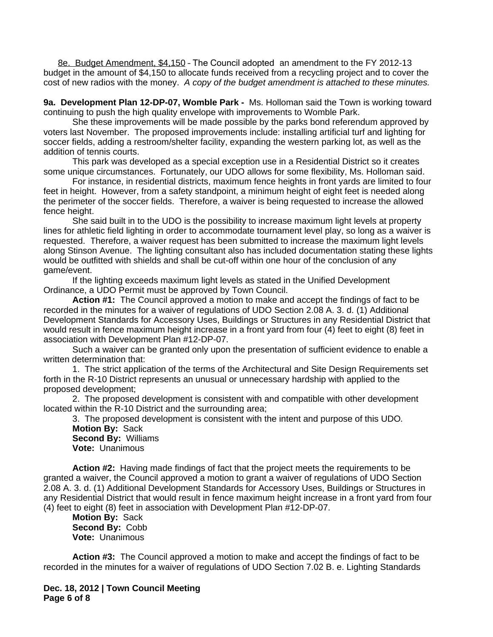8e. Budget Amendment, \$4,150 – The Council adopted an amendment to the FY 2012-13 budget in the amount of \$4,150 to allocate funds received from a recycling project and to cover the cost of new radios with the money. *A copy of the budget amendment is attached to these minutes.*

**9a. Development Plan 12-DP-07, Womble Park -** Ms. Holloman said the Town is working toward continuing to push the high quality envelope with improvements to Womble Park.

She these improvements will be made possible by the parks bond referendum approved by voters last November. The proposed improvements include: installing artificial turf and lighting for soccer fields, adding a restroom/shelter facility, expanding the western parking lot, as well as the addition of tennis courts.

This park was developed as a special exception use in a Residential District so it creates some unique circumstances. Fortunately, our UDO allows for some flexibility, Ms. Holloman said.

For instance, in residential districts, maximum fence heights in front yards are limited to four feet in height. However, from a safety standpoint, a minimum height of eight feet is needed along the perimeter of the soccer fields. Therefore, a waiver is being requested to increase the allowed fence height.

She said built in to the UDO is the possibility to increase maximum light levels at property lines for athletic field lighting in order to accommodate tournament level play, so long as a waiver is requested. Therefore, a waiver request has been submitted to increase the maximum light levels along Stinson Avenue. The lighting consultant also has included documentation stating these lights would be outfitted with shields and shall be cut-off within one hour of the conclusion of any game/event.

If the lighting exceeds maximum light levels as stated in the Unified Development Ordinance, a UDO Permit must be approved by Town Council.

**Action #1:** The Council approved a motion to make and accept the findings of fact to be recorded in the minutes for a waiver of regulations of UDO Section 2.08 A. 3. d. (1) Additional Development Standards for Accessory Uses, Buildings or Structures in any Residential District that would result in fence maximum height increase in a front yard from four (4) feet to eight (8) feet in association with Development Plan #12-DP-07.

Such a waiver can be granted only upon the presentation of sufficient evidence to enable a written determination that:

1. The strict application of the terms of the Architectural and Site Design Requirements set forth in the R-10 District represents an unusual or unnecessary hardship with applied to the proposed development;

2. The proposed development is consistent with and compatible with other development located within the R-10 District and the surrounding area;

3. The proposed development is consistent with the intent and purpose of this UDO*.* **Motion By:** Sack **Second By:** Williams **Vote:** Unanimous

**Action #2:** Having made findings of fact that the project meets the requirements to be granted a waiver, the Council approved a motion to grant a waiver of regulations of UDO Section 2.08 A. 3. d. (1) Additional Development Standards for Accessory Uses, Buildings or Structures in any Residential District that would result in fence maximum height increase in a front yard from four (4) feet to eight (8) feet in association with Development Plan #12-DP-07.

**Motion By:** Sack **Second By:** Cobb **Vote:** Unanimous

**Action #3:** The Council approved a motion to make and accept the findings of fact to be recorded in the minutes for a waiver of regulations of UDO Section 7.02 B. e. Lighting Standards

**Dec. 18, 2012 | Town Council Meeting Page 6 of 8**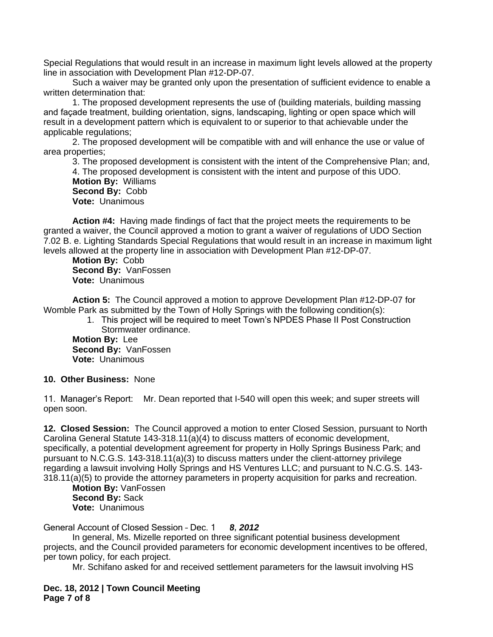Special Regulations that would result in an increase in maximum light levels allowed at the property line in association with Development Plan #12-DP-07.

Such a waiver may be granted only upon the presentation of sufficient evidence to enable a written determination that:

1. The proposed development represents the use of (building materials, building massing and façade treatment, building orientation, signs, landscaping, lighting or open space which will result in a development pattern which is equivalent to or superior to that achievable under the applicable regulations;

2. The proposed development will be compatible with and will enhance the use or value of area properties;

3. The proposed development is consistent with the intent of the Comprehensive Plan; and, 4. The proposed development is consistent with the intent and purpose of this UDO. **Motion By:** Williams **Second By:** Cobb **Vote:** Unanimous

**Action #4:** Having made findings of fact that the project meets the requirements to be granted a waiver, the Council approved a motion to grant a waiver of regulations of UDO Section 7.02 B. e. Lighting Standards Special Regulations that would result in an increase in maximum light levels allowed at the property line in association with Development Plan #12-DP-07.

**Motion By:** Cobb **Second By:** VanFossen **Vote:** Unanimous

**Action 5:** The Council approved a motion to approve Development Plan #12-DP-07 for Womble Park as submitted by the Town of Holly Springs with the following condition(s):

> 1. This project will be required to meet Town's NPDES Phase II Post Construction Stormwater ordinance.

**Motion By:** Lee **Second By:** VanFossen **Vote:** Unanimous

## **10. Other Business:** None

11. Manager's Report: Mr. Dean reported that I-540 will open this week; and super streets will open soon.

**12. Closed Session:** The Council approved a motion to enter Closed Session, pursuant to North Carolina General Statute 143-318.11(a)(4) to discuss matters of economic development, specifically, a potential development agreement for property in Holly Springs Business Park; and pursuant to N.C.G.S. 143-318.11(a)(3) to discuss matters under the client-attorney privilege regarding a lawsuit involving Holly Springs and HS Ventures LLC; and pursuant to N.C.G.S. 143- 318.11(a)(5) to provide the attorney parameters in property acquisition for parks and recreation.

**Motion By:** VanFossen **Second By:** Sack **Vote:** Unanimous

General Account of Closed Session – Dec. 1 *8, 2012*

In general, Ms. Mizelle reported on three significant potential business development projects, and the Council provided parameters for economic development incentives to be offered, per town policy, for each project.

Mr. Schifano asked for and received settlement parameters for the lawsuit involving HS

**Dec. 18, 2012 | Town Council Meeting Page 7 of 8**